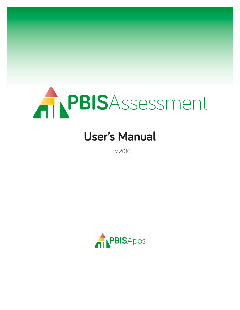

# **User's Manual**

July 2016

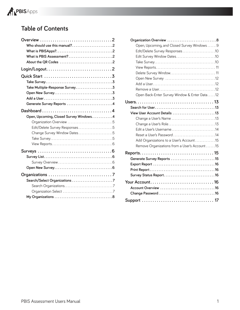

# **Table of Contents**

| Who should use this manual?2                                                            |  |
|-----------------------------------------------------------------------------------------|--|
|                                                                                         |  |
| What is PBIS Assessment?2                                                               |  |
|                                                                                         |  |
| $Login/Logout. \ldots \ldots \ldots \ldots \ldots \ldots \ldots \ldots \ldots \ldots 2$ |  |
|                                                                                         |  |
|                                                                                         |  |
| Take Multiple-Response Survey3                                                          |  |
|                                                                                         |  |
|                                                                                         |  |
| Generate Survey Reports 4                                                               |  |
|                                                                                         |  |
| Open, Upcoming, Closed Survey Windows. 4                                                |  |
|                                                                                         |  |
| Edit/Delete Survey Responses5                                                           |  |
| Change Survey Window Dates5                                                             |  |
|                                                                                         |  |
|                                                                                         |  |
|                                                                                         |  |
|                                                                                         |  |
|                                                                                         |  |
|                                                                                         |  |
|                                                                                         |  |
|                                                                                         |  |
|                                                                                         |  |
|                                                                                         |  |
|                                                                                         |  |
|                                                                                         |  |

| Organization Overview 8                       |  |
|-----------------------------------------------|--|
| Open, Upcoming, and Closed Survey Windows 9   |  |
| Edit/Delete Survey Responses10                |  |
| Edit Survey Window Dates10                    |  |
|                                               |  |
|                                               |  |
|                                               |  |
|                                               |  |
|                                               |  |
|                                               |  |
| Open Back-Enter Survey Window & Enter Data12  |  |
|                                               |  |
|                                               |  |
| View User Account Details 13                  |  |
| Change a User's Name 13                       |  |
|                                               |  |
| Edit a User's Username14                      |  |
| Reset a User's Password14                     |  |
| Add Organizations to a User's Account15       |  |
| Remove Organizations from a User's Account 15 |  |
|                                               |  |
| Generate Survey Reports 15                    |  |
|                                               |  |
|                                               |  |
| Survey Status Report16                        |  |
|                                               |  |
| Account Overview 16                           |  |
|                                               |  |
|                                               |  |
|                                               |  |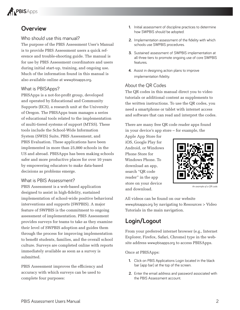

# **Overview**

### Who should use this manual?

The purpose of the PBIS Assessment User's Manual is to provide PBIS Assessment users a quick reference and trouble-shooting guide. The manual is for use by PBIS Assessment coordinators and users during initial start-up, training, and ongoing use. Much of the information found in this manual is also available online at www.pbisapps.org.

## What is PBISApps?

PBISApps is a not-for-profit group, developed and operated by Educational and Community Supports (ECS), a research unit at the University of Oregon. The PBISApps team manages a series of educational tools related to the implementation of multi-tiered systems of support (MTSS). These tools include the School-Wide Information System (SWIS) Suite, PBIS Assessment, and PBIS Evaluation. These applications have been implemented in more than 25,000 schools in the US and abroad. PBISApps has been making schools safer and more productive places for over 10 years by empowering educators to make data-based decisions as problems emerge.

#### What is PBIS Assessment?

PBIS Assessment is a web-based application designed to assist in high-fidelity, sustained implementation of school-wide positive behavioral interventions and supports (SWPBIS). A major feature of SWPBIS is the commitment to ongoing assessment of implementation. PBIS Assessment provides surveys for teams to take as they examine their level of SWPBIS adoption and guides them through the process for improving implementation to benefit students, families, and the overall school culture. Surveys are completed online with reports immediately available as soon as a survey is submitted.

PBIS Assessment improves the efficiency and accuracy with which surveys can be used to complete four purposes:

- **1.** Initial assessment of discipline practices to determine how SWPBIS should be adopted.
- **2.** Implementation assessment of the fidelity with which schools use SWPBIS procedures.
- **3.** Sustained assessment of SWPBIS implementation at all three tiers to promote ongoing use of core SWPBIS features.
- **4 .** Assist in designing action plans to improve implementation fidelity.

#### About the QR Codes

The QR codes in this manual direct you to video tutorials or additional content as supplements to the written instructions. To use the QR codes, you need a smartphone or tablet with internet access and software that can read and interpret the codes.

There are many free QR code reader apps found in your device's app store – for example, the

Apple App Store for iOS, Google Play for Android, or Windows Phone Store for Windows Phone. To download an app, search "QR code reader" in the app store on your device and download.



*An example of a QR code.*

All videos can be found on our website www.pbisapps.org by navigating to Resources > Video Tutorials in the main navigation.

# **Login/Logout**

From your preferred internet browser (e.g., Internet Explorer, Firefox, Safari, Chrome) type in the website address www.pbisapps.org to access PBISApps.

Once at PBISApps:

- **1 .** Click on PBIS Applications Login located in the black bar (app bar) at the top of the screen.
- **2 .** Enter the email address and password associated with the PBIS Assessment account.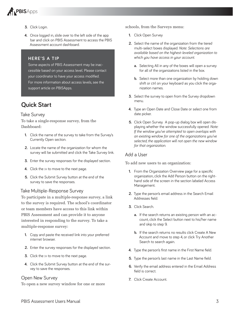

- **3.** Click Login.
- **4 .** Once logged in, slide over to the left side of the app bar and click on PBIS Assessment to access the PBIS Assessment account dashboard.

#### **HERE'S A TIP**

Some aspects of PBIS Assessment may be inaccessible based on your access level . Please contact your coordinator to have your access modified. For more information about access levels, see the support article on PBISApps.

# **Quick Start**

#### Take Survey

To take a single-response survey, from the Dashboard:

- **1 .** Click the name of the survey to take from the Survey's Currently Open section.
- **2.** Locate the name of the organization for whom the survey will be submitted and click the Take Survey link.
- **3.** Enter the survey responses for the displayed section.
- **4.** Click the  $\gg$  to move to the next page.
- **5.** Click the Submit Survey button at the end of the survey to save the responses.

#### Take Multiple-Response Survey

To participate in a multiple-response survey, a link to the survey is required. The school's coordinator or team members have access to this link within PBIS Assessment and can provide it to anyone interested in responding to the survey. To take a multiple-response survey:

- **1 .** Copy and paste the received link into your preferred internet browser.
- **2.** Enter the survey responses for the displayed section.
- **3.** Click the  $\gg$  to move to the next page.
- **4 .** Click the Submit Survey button at the end of the survey to save the responses.

#### Open New Survey

To open a new survey window for one or more

schools, from the Surveys menu:

- **1.** Click Open Survey
- **2.** Select the name of the organization from the tiered multi-select boxes displayed . *Note: Selections are available based on the highest-leveled organization to which you have access in your account.* 
	- **a.** Selecting All in any of the boxes will open a survey for all of the organizations listed in the box.
	- **b.** Select more than one organization by holding down shift or ctrl on your keyboard as you click the organization names.
- **3.** Select the survey to open from the Survey dropdown menu .
- **4 .** Type an Open Date and Close Date or select one from date picker.
- **5.** Click Open Survey. A pop-up dialog box will open displaying whether the window successfully opened. Note: *If the window you've attempted to open overlaps with an existing window for one of the organizations you've selected, the application will not open the new window for that organization.*

#### Add a User

To add new users to an organization:

- **1.** From the Organization Overview page for a specific organization, click the Add Person button on the righthand side of the screen in the section labeled Access Management.
- **2 .** Type the person's email address in the Search Email Addresses field.
- **3.** Click Search.
	- **a.** If the search returns an existing person with an account, click the Select button next to his/her name and skip to step 9.
	- **b.** If the search returns no results click Create A New Account and move to step 4, or click Try Another Search to search again.
- **4.** Type the person's first name in the First Name field.
- **5.** Type the person's last name in the Last Name field.
- **6.** Verify the email address entered in the Email Address field is correct .
- **7 .** Click Create Account .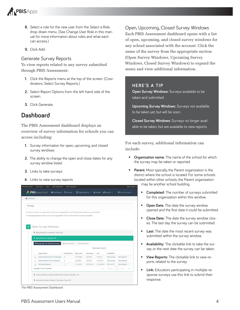

- **8 .** Select a role for the new user from the Select a Role drop-down menu. (See Change User Role in this manual for more information about roles and what each can access.)
- 9. Click Add.

#### Generate Survey Reports

To view reports related to any survey submitted through PBIS Assessment:

- **1.** Click the Reports menu at the top of the screen. (Coordinators: Select Survey Reports.)
- **2 .** Select Report Options from the left-hand side of the screen.
- **3 .** Click Generate .

# **Dashboard**

The PBIS Assessment dashboard displays an overview of survey information for schools you can access including:

- **1.** Survey information for open, upcoming, and closed survey windows
- **2 .** The ability to change the open and close dates for any survey window listed.
- **3.** Links to take surveys
- **4.** Links to view survey reports

| Cashboard     |                                                                                                                 |                         |                        |                        |                      |                             |                          |
|---------------|-----------------------------------------------------------------------------------------------------------------|-------------------------|------------------------|------------------------|----------------------|-----------------------------|--------------------------|
| Surveys       |                                                                                                                 |                         |                        |                        |                      |                             |                          |
|               | To open a survey to an organization, head over to organizations, and find the organization you are looking for. |                         |                        |                        |                      |                             |                          |
|               | To manage responses to the survey for an organization, click on the number of surveys completed.                |                         |                        |                        |                      |                             |                          |
|               |                                                                                                                 |                         |                        |                        |                      |                             |                          |
|               | Open Survey Windows                                                                                             |                         |                        |                        |                      |                             |                          |
|               |                                                                                                                 |                         |                        |                        |                      |                             |                          |
|               | > Benchmarks for Advanced Tiers 2.50                                                                            |                         |                        |                        |                      |                             |                          |
|               |                                                                                                                 |                         |                        |                        |                      |                             |                          |
|               | <sup>*</sup> Benchmarks of Quality 2.00                                                                         |                         |                        |                        |                      |                             |                          |
|               | 4D Change Dates for 0 Selected Surveys                                                                          | Select All Visible      | Clear Selection        |                        |                      |                             |                          |
|               |                                                                                                                 |                         |                        |                        | Organization Search: |                             |                          |
|               |                                                                                                                 |                         |                        |                        |                      |                             |                          |
|               | Organization<br>Demonstration School Challenged                                                                 | Completed<br>з          | Open Date<br>4/17/2009 | Close Date<br>1/0/2015 | Last<br>5/1/2011     | Availability<br>Take Survey | View Reports             |
| 旧<br>$\Theta$ | Demonstration School Exemplar                                                                                   | $\overline{\mathbf{3}}$ | 4/3/2009               | 1/9/2015               | 4/25/2011            | Take Survey                 | View Reports             |
| m             | Starfleet Academy                                                                                               | ж                       | 12/1/2014              | 12/31/2014             | 12/10/2014           | 03/10/2015                  | View Reports             |
|               | Showing 1 to 3 of 3 entries                                                                                     |                         |                        |                        | <b>Gittit</b>        | <b>Rendous</b>              | t<br>Next<br><b>Tant</b> |

*The PBIS Assessment Dashboard*

Open, Upcoming, Closed Survey Windows Each PBIS Assessment dashboard opens with a list of open, upcoming, and closed survey windows for any school associated with the account. Click the name of the survey from the appropriate section (Open Survey Windows, Upcoming Survey Windows, Closed Survey Windows) to expand the menu and view additional information.

#### **HERE'S A TIP**

**Open Survey Windows:** Surveys available to be taken and submitted.

**Upcoming Survey Windows:** Surveys not available to be taken yet, but will be soon.

**Closed Survey Windows:** Surveys no longer available to be taken, but are available to view reports.

For each survey, additional information can include:

- **Organization name:** The name of the school for which the survey may be taken or reported.
- **Parent:** Most typically, the Parent organization is the district where the school is located. For some schools located within other schools, the Parent organization may be another school building.
	- **Completed:** The number of surveys submitted for this organization within this window.
	- **Open Date:** The date the survey window opened and the first date it could be submitted.
	- **Close Date:** The date the survey window closes. The last day the survey can be submitted.
	- **Last:** The date the most recent survey was submitted within the survey window.
	- **Availability:** The clickable link to take the survey or the next date the survey can be taken.
	- **View Reports:** The clickable link to view reports related to the survey.
	- **Link:** Educators participating in multiple-response surveys use this link to submit their response.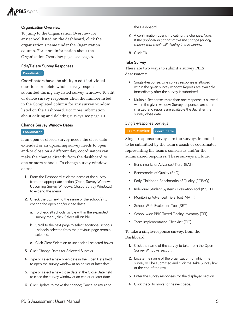# **PBISApps**

#### **Organization Overview**

To jump to the Organization Overview for any school listed on the dashboard, click the organization's name under the Organization column. For more information about the Organization Overview page, see page 8.

#### **Edit/Delete Survey Responses**

Ļ

#### **Coordinator**

Coordinators have the abilityto edit individual questions or delete whole survey responses submitted during any listed survey window. To edit or delete survey responses click the number listed in the Completed column for any survey window listed on the Dashboard. For more information about editing and deleting surveys see page 10.

#### **Change Survey Window Dates**

Ļ

#### **Coordinator**

If an open or closed survey needs the close date extended or an upcoming survey needs to open and/or close on a different day, coordinators can make the change directly from the dashboard to one or more schools. To change survey window dates:

- **1.** From the Dashboard, click the name of the survey from the appropriate section (Open, Survey Windows Upcoming Survey Windows, Closed Survey Windows) to expand the menu.
- **2.** Check the box next to the name of the school(s) to change the open and/or close dates.
	- a. To check all schools visible within the expanded survey menu, click Select All Visible.
	- **b.** Scroll to the next page to select additional schools – schools selected from the previous page remain selected.
	- **c.** Click Clear Selection to uncheck all selected boxes.
- **3.** Click Change Dates for Selected Surveys.
- **4 .** Type or select a new open date in the Open Date field to open the survey window at an earlier or later date.
- **5 .** Type or select a new close date in the Close Date field to close the survey window at an earlier or later date.
- **6.** Click Update to make the change; Cancel to return to

#### the Dashbaord.

- **7 .** A confirmation opens indicating the changes . *Note: If the application cannot make the change for any reason, that result will display in this window.*
- **8.** Click Ok.

#### **Take Survey**

There are two ways to submit a survey PBIS Assessment:

- **Single-Response: One survey response is allowed** within the given survey window. Reports are available immediately after the survey is submitted.
- Multiple-Response: More than one response is allowed within the given window. Survey responses are summarized and reports are available the day after the survey close date.

#### *Single-Response Surveys*

#### **Team Member Coordinator**

Single-response surveys are the surveys intended to be submitted by the team's coach or coordinator representing the team's consensus and/or the summarized responses. These surveys include:

- Benchmarks of Advanced Tiers (BAT)
- Benchmarks of Quality (BoQ)
- Early Childhood Benchmarks of Quality (ECBoQ)
- Individual Student Systems Evaluation Tool (ISSET)
- Monitoring Advanced Tiers Tool (MATT)
- School-Wide Evaluation Tool (SET)
- **School-wide PBIS Tiered Fidelity Inventory (TFI)**
- **Team Implementation Checklist (TIC)**

To take a single-response survey, from the Dashboard:

- **1.** Click the name of the survey to take from the Open Survey Windows section.
- **2.** Locate the name of the organization for which the survey will be submitted and click the Take Survey link at the end of the row.
- **3.** Enter the survey responses for the displayed section.
- **4.** Click the  $\gg$  to move to the next page.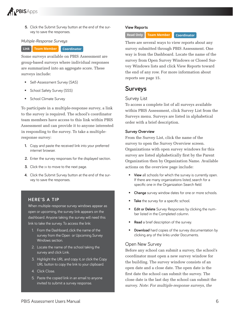

**5 .** Click the Submit Survey button at the end of the survey to save the responses.

#### *Multiple-Response Surveys*

**Link Team Member Coordinator**

Some surveys available on PBIS Assessment are group-based surveys where individual responses are summarized into an aggregate score. These surveys include:

- Self-Assessment Survey (SAS)
- School Safety Survey (SSS)
- School Climate Survey

To participate in a multiple-response survey, a link to the survey is required. The school's coordinator team members have access to this link within PBIS Assessment and can provide it to anyone interested in responding to the survey. To take a multipleresponse survey:

- **1.** Copy and paste the received link into your preferred internet browser.
- **2.** Enter the survey responses for the displayed section.
- **3.** Click the  $\gg$  to move to the next page.
- **4 .** Click the Submit Survey button at the end of the survey to save the responses.

#### **HERE'S A TIP**

When multiple-response survey windows appear as open or upcoming, the survey link appears on the dashboard. Anyone taking the survey will need this link to take the survey. To access the link:

- 1. From the Dashboard, click the name of the survey from the Open or Upcoming Survey Windows section.
- 2. Locate the name of the school taking the survey and click Link.
- 3 . Highlight the URL and copy it, or click the Copy URL button to copy the link to your clipboard.
- 4. Click Close.
- 5 . Paste the copied link in an email to anyone invited to submit a survey response.

#### **View Reports**

#### **Read Only Team Member Coordinator**

There are several ways to view reports about any survey submitted through PBIS Assessment. One way is from the Dashboard. Locate the name of the survey from Open Survey Windows or Closed Survey Windows lists and click View Reports toward the end of any row. For more information about reports see page 15.

## **Surveys**

#### Survey List

To access a complete list of all surveys available within PBIS Assessment, click Survey List from the Surveys menu. Surveys are listed in alphabetical order with a brief description.

#### **Survey Overview**

From the Survey List, click the name of the survey to open the Survey Overview screen. Organizations with open survey windows for this survey are listed alphabetically first by the Parent Organization then by Organization Name. Available actions on the overview page include:

- **View** all schools for which the survey is currently open. If there are many organizations listed, search for a specific one in the Organization Search field.
- **Change** survey window dates for one or more schools.
- **Take** the survey for a specific school.
- **Edit or Delete** Survey Responses by clicking the number listed in the Completed column.
- **Read** a brief description of the survey.
- **Download** hard copies of the survey documentation by clicking any of the links under Documents.

#### Open New Survey

Before any school can submit a survey, the school's coordinator must open a new survey window for the building. The survey window consists of an open date and a close date. The open date is the first date the school can submit the survey. The close date is the last day the school can submit the survey. *Note: For multiple-response surveys, the*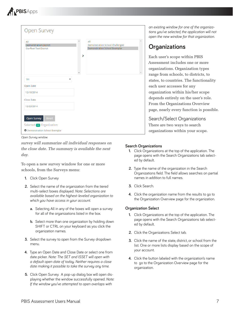

| Open Survey                                                                           |   |                                                                         |  |
|---------------------------------------------------------------------------------------|---|-------------------------------------------------------------------------|--|
| All<br><b>Demonstration District</b><br><b>Starfleet Test District</b>                | Y | All<br>Demonstration School Challenged<br>Demonstration School Exemplar |  |
| TFI                                                                                   |   |                                                                         |  |
| Open Date                                                                             |   |                                                                         |  |
| 12/10/2014                                                                            |   |                                                                         |  |
| Close Date                                                                            |   |                                                                         |  |
| 12/22/2014                                                                            |   |                                                                         |  |
| Open Survey<br>Reset<br>Selected (1) Organization:<br>O Demonstration School Exemplar |   |                                                                         |  |

*Open Survey window.*

*survey will summarize all individual responses on the close date. The summary is available the next day.*

To open a new survey window for one or more schools, from the Surveys menu:

- **1.** Click Open Survey
- **2.** Select the name of the organization from the tiered multi-select boxes displayed . *Note: Selections are available based on the highest-leveled organization to which you have access in your account.* 
	- **a.** Selecting All in any of the boxes will open a survey for all of the organizations listed in the box.
	- **b.** Select more than one organization by holding down SHIFT or CTRL on your keyboard as you click the organization names.
- **3.** Select the survey to open from the Survey dropdown menu.
- **4 .** Type an Open Date and Close Date or select one from date picker . *Note: The SET and ISSET will open with a default open date of today. Neither requires a close date making it possible to take the survey any time.*
- **5.** Click Open Survey. A pop-up dialog box will open displaying whether the window successfully opened. Note: *If the window you've attempted to open overlaps with*

*an existing window for one of the organizations you've selected, the application will not open the new window for that organization.*

# **Organizations**

Each user's scope within PBIS Assessment includes one or more organizations. Organization types range from schools, to districts, to states, to countries. The functionality each user accesses for any organization within his/her scope depends entirely on the user's role. From the Organizations Overview page, nearly every function is possible.

Search/Select Organizations There are two ways to search organizations within your scope.

#### **Search Organizations**

- **1.** Click Organizations at the top of the application. The page opens with the Search Organizations tab selected by default.
- **2.** Type the name of the organization in the Search Organizations field . The field allows searches on partial names in addition to full names.
- **3.** Click Search.
- **4 .** Click the organization name from the results to go to the Organization Overview page for the organization.

#### **Organization Select**

- **1.** Click Organizations at the top of the application. The page opens with the Search Organizations tab selected by default.
- 2. Click the Organizations Select tab.
- **3.** Click the name of the state, district, or school from the list. One or more lists display based on the scope of your account.
- **4 .** Click the button labeled with the organization's name to go to the Organization Overview page for the organization.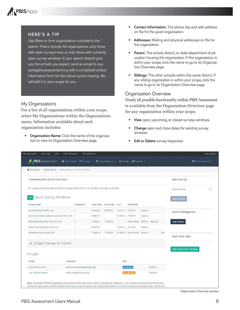

#### **HERE'S A TIP**

Use filters to limit organizations included in the search. Filters include: All organizations, only those with open surveys ever, or only those with currently open survey windows . If your search doesn't give you the schools you expect, send an email to support@pbisassessment.org with a completed school information form for the school you're missing. We will add it to your scope for you.

#### My Organizations

For a list of all organizations within your scope, select My Organizations within the Organizations menu. Information available about each organization includes:

**• Organization Name:** Click the name of the organization to view its Organization Overview page.

- **Contact Information:** The phone, fax, and web address on file for the given organization.
- **Addresses:** Mailing and physical addresses on file for the organization.
- **Parent:** The school, district, or state department of education housing the organization . If this organization is within your scope, click the name to go to its Organization Overview page.
- **Siblings:** The other schools within the same district. If any sibling organization is within your scope, click the name to go to its Organization Overview page.

#### Organization Overview

Nearly all possible functionality within PBIS Assessment is available from the Organization Overview page for any organization within your scope.

- **View** open, upcoming, or closed surveys windows.
- **Change** open and close dates for existing survey windows

| Edit or Delete survey responses |  |  |  |  |  |
|---------------------------------|--|--|--|--|--|
|---------------------------------|--|--|--|--|--|

| PBIS Apps Home<br>SWIS Suite<br><b>SAMI</b>                                                                                                                                                                                                                                                                              | <b>PBIS Assessment</b><br><b>PBIS Evaluation</b>                          |          |                           |          |                      |         |        |      | Robin Spoert -                |
|--------------------------------------------------------------------------------------------------------------------------------------------------------------------------------------------------------------------------------------------------------------------------------------------------------------------------|---------------------------------------------------------------------------|----------|---------------------------|----------|----------------------|---------|--------|------|-------------------------------|
| PBISAssessment                                                                                                                                                                                                                                                                                                           | <b>合</b> Dashboard 「 C Surveys ▼ 血 Organizations ▼ 」 2 People ■ Reports ▼ |          |                           |          |                      |         |        |      | Your Account                  |
| <b>  • Dashboard</b> > Organizations > Demonstration School Exemplar                                                                                                                                                                                                                                                     |                                                                           |          |                           |          |                      |         |        |      |                               |
| <b>Demonstration School Exemplar</b>                                                                                                                                                                                                                                                                                     |                                                                           |          |                           |          |                      |         |        |      | <b>Open Survey</b>            |
| To manage responses to the survey for this organization, click on the number of surveys completed.                                                                                                                                                                                                                       |                                                                           |          |                           |          |                      |         |        |      | ۰.<br>Select a survey         |
| Open Survey Windows                                                                                                                                                                                                                                                                                                      |                                                                           |          |                           |          |                      |         |        |      | <b>Open Survey</b>            |
| <b>Survey Name</b>                                                                                                                                                                                                                                                                                                       | Completed                                                                 |          | Open Date Close Date Last |          | Availability         |         |        |      |                               |
| Benchmarks of Quality 2.00                                                                                                                                                                                                                                                                                               | з                                                                         | 04/03/09 | 01/09/15                  | 12/09/14 | 03/09/15             | Reports |        |      | <b>Access Management</b>      |
| Individual Student Systems Evaluation Tool 3.00 2                                                                                                                                                                                                                                                                        |                                                                           | 05/02/12 |                           |          | 12/09/14 03/09/15    | Reports |        |      |                               |
| Monitoring Advanced Tiers Tool 2.00                                                                                                                                                                                                                                                                                      | $\bf{0}$                                                                  | 12/09/14 | 12/16/14                  |          | <b>Take Survey</b>   | Reports | Remove |      | <b>Add Person</b>             |
| School-wide Evaluation Tool 2.10                                                                                                                                                                                                                                                                                         | 3                                                                         | 04/27/09 |                           |          | 12/09/14 03/09/15    | Reports |        |      |                               |
| Self-Assessment Survey 2.00                                                                                                                                                                                                                                                                                              |                                                                           | 12/09/14 | 12/16/14                  |          | 12/10/14 Take Survey | Reports |        | Link |                               |
|                                                                                                                                                                                                                                                                                                                          |                                                                           |          |                           |          |                      |         |        |      | <b>Back Enter Data</b>        |
| > Closed Survey Windows                                                                                                                                                                                                                                                                                                  |                                                                           |          |                           |          |                      |         |        |      |                               |
| People                                                                                                                                                                                                                                                                                                                   |                                                                           |          |                           |          |                      |         |        |      | <b>Open Back Enter Window</b> |
| Person                                                                                                                                                                                                                                                                                                                   | <b>Username</b>                                                           |          |                           | Role     |                      |         |        |      |                               |
| Coordinator, Demo                                                                                                                                                                                                                                                                                                        | democoordinator@pbisapps.org                                              |          |                           |          | Coordinator          |         | Remove |      |                               |
| User, Demonstration                                                                                                                                                                                                                                                                                                      | demouser@pbisapps.org                                                     |          |                           |          | Team Member          |         | Remove |      |                               |
| Note: The people with this organization have access to this organization and all organizations underneath it. For example, a person at the district level<br>would also have access to all the schools in the district. Likewise, people with organizations above this one have access to this organization, but are not |                                                                           |          |                           |          |                      |         |        |      |                               |

*Organization Overview window.*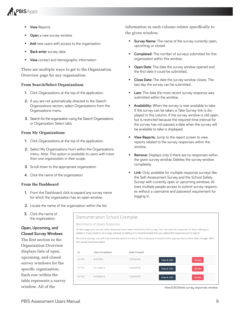

- **View** Reports
- **Open** a new survey window
- Add new users with access to the organization
- **Back enter** survey data
- **View** contact and demographic information

There are multiple ways to get to the Organization Overview page for any organization:

#### **From Search/Select Organizations**

- **1.** Click Organizations at the top of the application.
- **2.** If you are not automatically directed to the Search Organizations section, select Organizations from the Organizations menu.
- **3.** Search for the organization using the Search Organizations or Organization Select tabs.

#### **From My Organizations**

- **1.** Click Organizations at the top of the application.
- **2.** Select My Organizations from within the Organizations menu . *Note: This option is available to users with more than one organization in their scope.*
- **3.** Scroll down to the appropriate organization.
- **4.** Click the name of the organization.

#### **From the Dashboard**

- **1.** From the Dashboard, click to expand any survey name for which the organization has an open window.
- **2.** Locate the name of the organization within the list.

information in each column relates specifically to the given window.

- **Survey Name:** The name of the survey currently open, upcoming, or closed.
- **Completed:** The number of surveys submitted for this organization within this window.
- **Dpen Date:** The date the survey window opened and the first date it could be submitted...
- **Close Date:** The date the survey window closes . The last day the survey can be submitted..
- **Last:** The date the most recent survey response was submitted within the window.
- **Availability:** When the survey is next available to take. If the survey can be taken, a Take Survey link is displayed in this column. If the survey window is still open, but is restricted because the required time interval for the survey has not passed, a date when the survey will be available to take is displayed.
- **View Reports:** Jump to the report screen to view reports related to the survey responses within the window.
- **Remove:** Displays only if there are no responses within the given survey window . Deletes the survey window completely.
- **Link:** Only available for multiple-response surveys like the Self-Assessment Survey and the School Safety Survey with currently open or upcoming windows . Allows multiple people access to submit survey responses without a username and password requirement for logging in.

| <b>3.</b> Click the name of |
|-----------------------------|
| the organization.           |

#### **Open, Upcoming, and Closed Survey Windows**

The first section in the Organization Overview displays lists of open, upcoming, and closed survey windows for the specific organization. Each row within the table represents a survey window. All of the

#### Demonstration School Exemplar Benchmarks of Quality Responses On this page, you can see what responses have been entered for this survey. You can view the response, do basic editing, or delete it. If you need to do a large amount of editing, it is recommended that you delete the response and re-take it. For some surveys, you will only have the option to view it. This is because it would not be appropriate to allow data changes after the survey had been taken. Id **Date Completed Date Created** 31114 4/3/2012 12/9/2014 View & Edit **Delete** 31115 5/11/2013 12/9/2014 View & Edit Delete 31116 4/25/2014 12/9/2014 View & Edit Delete

*View/Edit/Delete survey responses window.*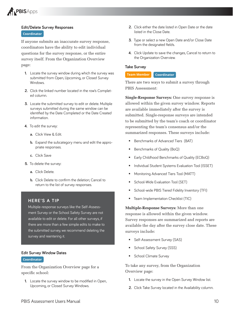

#### **Edit/Delete Survey Responses Coordinator**

If anyone submits an inaccurate survey response, coordinators have the ability to edit individual questions for the survey response, or the entire survey itself. From the Organization Overview page:

- **1.** Locate the survey window during which the survey was submitted from Open, Upcoming, or Closed Survey Windows.
- **2.** Click the linked number located in the row's Completed column.
- **3.** Locate the submitted survey to edit or delete. Multiple surveys submitted during the same window can be identified by the Date Completed or the Date Created information.
- **4.** To edit the survey:
	- **a.** Click View & Edit.
	- **b.** Expand the subcategory menu and edit the appropriate responses.
	- **c.** Click Save
- **5.** To delete the survey:
	- **a.** Click Delete.
	- **b.** Click Delete to confirm the deletion; Cancel to return to the list of survey responses.

#### **HERE'S A TIP**

Multiple-response surveys like the Self-Assessment Survey or the School Safety Survey are not available to edit or delete. For all other surveys, if there are more than a few simple edits to make to the submitted survey, we recommend deleting the survey and reentering it.

#### **Edit Survey Window Dates**

#### **Coordinator**

From the Organization Overview page for a specific school:

**1.** Locate the survey window to be modified in Open, Upcoming, or Closed Survey Windows.

- **2.** Click either the date listed in Open Date or the date listed in the Close Date.
- **3.** Type or select a new Open Date and/or Close Date from the designated fields.
- **4 .** Click Update to save the changes, Cancel to return to the Organization Overview.

#### **Take Survey**

#### **Team Member Coordinator**

There are two ways to submit a survey through PBIS Assessment:

**Single-Response Surveys:** One survey response is allowed within the given survey window. Reports are available immediately after the survey is submitted. Single-response surveys are intended to be submitted by the team's coach or coordinator representing the team's consensus and/or the summarized responses. These surveys include:

- **Benchmarks of Advanced Tiers (BAT)**
- **Benchmarks of Quality (BoQ)**
- Early Childhood Benchmarks of Quality (ECBoQ)
- **Individual Student Systems Evaluation Tool (ISSET)**
- Monitoring Advanced Tiers Tool (MATT)
- School-Wide Evaluation Tool (SET)
- School-wide PBIS Tiered Fidelity Inventory (TFI)
- **Team Implementation Checklist (TIC)**

**Multiple-Response Surveys:** More than one response is allowed within the given window. Survey responses are summarized and reports are available the day after the survey close date. These surveys include:

- **Self-Assessment Survey (SAS)**
- School Safety Survey (SSS)
- **School Climate Survey**

To take any survey, from the Organization Overview page:

- **1.** Locate the survey in the Open Survey Window list.
- 2. Click Take Survey located in the Availability column.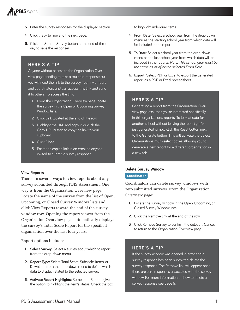

- **3.** Enter the survey responses for the displayed section.
- **4.** Click the  $\gg$  to move to the next page.
- **5.** Click the Submit Survey button at the end of the survey to save the responses.

#### **HERE'S A TIP**

Anyone without access to the Organization Overview page needing to take a multiple-response survey will need the link to the survey. Team Members and coordinators and can access this link and send it to others. To access the link:

- 1 . From the Organization Overview page, locate the survey in the Open or Upcoming Survey Window lists.
- 2. Click Link located at the end of the row.
- 3 . Highlight the URL and copy it, or click the Copy URL button to copy the link to your clipboard.
- 4 Click Close
- 5 . Paste the copied link in an email to anyone invited to submit a survey response.

#### **View Reports**

There are several ways to view reports about any survey submitted through PBIS Assessment. One way is from the Organization Overview page. Locate the name of the survey from the list of Open, Upcoming, or Closed Survey Window lists and click View Reports toward the end of the survey window row. Opening the report viewer from the Organization Overview page automatically displays the survey's Total Score Report for the specified organization over the last four years.

Report options include:

- **1.** Select Survey: Select a survey about which to report from the drop-down menu.
- 2. Report Type: Select Total Score, Subscale, Items, or Download from the drop-down menu to define which data to display related to the selected survey.
- **3 . Activate Report Highlights:** Some Item Reports give the option to highlight the item's status . Check the box

to highlight individual items.

- **4 . From Date:** Select a school year from the drop-down menu as the starting school year from which data will be included in the report.
- **5 . To Date:** Select a school year from the drop-down menu as the last school year from which data will be included in the reports . *Note: This school year must be the same as or after the selected From Date.*
- **6. Export:** Select PDF or Excel to export the generated report as a PDF or Excel spreadsheet.

#### **HERE'S A TIP**

Generating a report from the Organization Overview page assumes you're interested specifically in this organization's reports . To look at data for another school without leaving the report you've just generated, simply click the Reset button next to the Generate button. This will activate the Select Organizations multi-select boxes allowing you to generate a new report for a different organization in a new tab.

#### **Delete Survey Window**

#### **Coordinator**

Coordinators can delete survey windows with zero submitted surveys. From the Organization Overview page:

- **1.** Locate the survey window in the Open, Upcoming, or Closed Survey Window lists.
- **2.** Click the Remove link at the end of the row.
- **3.** Click Remove Survey to confirm the deletion; Cancel to return to the Organization Overview page.

#### **HERE'S A TIP**

If the survey window was opened in error and a survey response has been submitted, delete the survey response. The Remove link will appear once there are zero responses associated with the survey window . For more information on how to delete a survey response see page 9.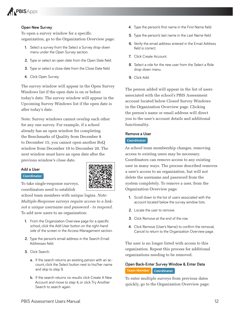

#### **Open New Survey**

To open a survey window for a specific organization, go to the Organization Overview page:

- **1.** Select a survey from the Select a Survey drop-down menu under the Open Survey section.
- 2. Type or select an open date from the Open Date field.
- **3.** Type or select a close date from the Close Date field.
- 4. Click Open Survey.

The survey window will appear in the Open Survey Windows list if the open date is on or before today's date. The survey window will appear in the Upcoming Survey Windows list if the open date is after today's date.

Note: Survey windows cannot overlap each other for any one survey. For example, if a school already has an open window for completing the Benchmarks of Quality from December 8 to December 15, you cannot open another BoQ window from December 10 to December 20. The next window must have an open date after the previous window's close date.

#### **Add a User**

#### **Coordinator**

To take single-response surveys, coordinators need to establish

school team members with unique logins. *Note: Multiple-Response surveys require access to a linknot a unique username and password - to respond.* To add new users to an organization:

- **1.** From the Organization Overview page for a specific school, click the Add User button on the right-hand side of the screen in the Access Management section.
- **2 .** Type the person's email address in the Search Email Addresses field.
- **3.** Click Search.
	- **a.** If the search returns an existing person with an account, click the Select button next to his/her name and skip to step 9.
	- **b.** If the search returns no results click Create A New Account and move to step 4, or click Try Another Search to search again.
- **4.** Type the person's first name in the First Name field.
- **5.** Type the person's last name in the Last Name field.
- **6 .** Verify the email address entered in the Email Address field is correct.
- 7. Click Create Account.
- **8 .** Select a role for the new user from the Select a Role drop-down menu.
- 9. Click Add.

The person added will appear in the list of users associated with the school's PBIS Assessment account located below Closed Survey Windows in the Organization Overview page. Clicking the person's name or email address will direct you to the user's account details and additional functionality.

#### **Remove a User**

#### **Coordinator**

As school team membership changes, removing access to existing users may be necessary. Coordinators can remove access to any existing user in many ways. The process described removes a user's access to an organization, but will not delete the username and password from the system completely. To remove a user, from the Organization Overview page:

- **1.** Scroll down to the list of users associated with the account located below the survey window lists.
- **2.** Locate the user to remove.
- **3 .** Click Remove at the end of the row .
- **4.** Click Remove (User's Name) to confirm the removal: Cancel to return to the Organization Overview page.

The user is no longer listed with access to this organization. Repeat this process for additional organizations needing to be removed.

### **Open Back-Enter Survey Window & Enter Data Team Member Coordinator**

To enter multiple surveys from previous dates quickly, go to the Organization Overview page:

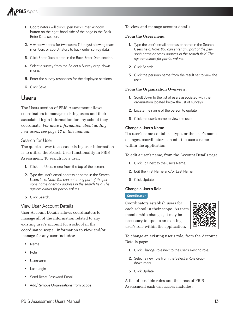

- **1.** Coordinators will click Open Back Enter Window button on the right-hand side of the page in the Back Enter Data section.
- **2 .** A window opens for two weeks (14 days) allowing team members or coordinators to back enter survey data.
- **3.** Click Enter Data button in the Back Enter Data section.
- **4 .** Select a survey from the Select a Survey drop-down menu.
- **5.** Enter the survey responses for the displayed sections.
- **6.** Click Save

## **Users**

The Users section of PBIS Assessment allows coordinators to manage existing users and their associated login information for any school they coordinate. *For more information about adding new users, see page 12 in this manual.*

#### Search for User

The quickest way to access existing user information is to utilize the Search User functionality in PBIS Assessment. To search for a user:

- **1.** Click the Users menu from the top of the screen.
- **2.** Type the user's email address or name in the Search Users field. Note: You can enter any part of the per*son's name or email address in the search field. The system allows for partial values.*
- **3 .** Click Search .

#### View User Account Details

User Account Details allows coordinators to manage all of the information related to any existing user's account for a school in the coordinator scope. Information to view and/or manage for any user includes:

- Name
- Role
- Username
- Last Login
- Send Reset Password Email
- Add/Remove Organizations from Scope

#### To view and manage account details

#### **From the Users menu:**

- **1.** Type the user's email address or name in the Search Users field. Note: You can enter any part of the per*son's name or email address in the search field. The system allows for partial values.*
- 2. Click Search.
- **3.** Click the person's name from the result set to view the user .

#### **From the Organization Overview:**

- **1 .** Scroll down to the list of users associated with the organization located below the list of surveys.
- **2.** Locate the name of the person to update.
- **3.** Click the user's name to view the user.

#### **Change a User's Name**

If a user's name contains a typo, or the user's name changes, coordinators can edit the user's name within the application.

To edit a user's name, from the Account Details page:

- **1.** Click Edit next to the user's Name.
- **2.** Edit the First Name and/or Last Name.
- **3.** Click Update.

#### **Change a User's Role**

#### **Coordinator**

Coordinators establish users for each school in their scope. As team membership changes, it may be necessary to update an existing user's role within the application.



To change an existing user's role, from the Account Details page:

- **1.** Click Change Role next to the user's existing role.
- **2.** Select a new role from the Select a Role dropdown menu .
- **3.** Click Update.

A list of possible roles and the areas of PBIS Assessment each can access includes: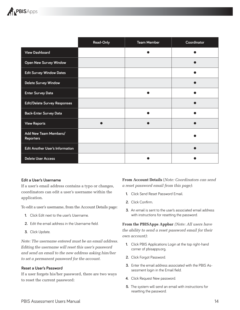

|                                           | Read-Only | <b>Team Member</b> | Coordinator |
|-------------------------------------------|-----------|--------------------|-------------|
| <b>View Dashboard</b>                     |           |                    |             |
| <b>Open New Survey Window</b>             |           |                    |             |
| <b>Edit Survey Window Dates</b>           |           |                    |             |
| <b>Delete Survey Window</b>               |           |                    |             |
| <b>Enter Survey Data</b>                  |           |                    |             |
| <b>Edit/Delete Survey Responses</b>       |           |                    |             |
| <b>Back-Enter Survey Data</b>             |           |                    |             |
| <b>View Reports</b>                       |           |                    |             |
| Add New Team Members/<br><b>Reporters</b> |           |                    |             |
| <b>Edit Another User's Information</b>    |           |                    |             |
| <b>Delete User Access</b>                 |           |                    |             |

#### **Edit a User's Username**

If a user's email address contains a typo or changes, coordinators can edit a user's username within the application.

To edit a user's username, from the Account Details page:

- **1 .** Click Edit next to the user's Username .
- **2.** Edit the email address in the Username field.
- **3.** Click Update.

*Note: The username entered must be an email address. Editing the username will reset this user's password and send an email to the new address asking him/her to set a permanent password for the account.*

#### **Reset a User's Password**

If a user forgets his/her password, there are two ways to reset the current password:

**From Account Details** (*Note: Coordinators can send a reset password email from this page)*:

- **1.** Click Send Reset Password Email.
- **2 .** Click Confirm .
- **3.** An email is sent to the user's associated email address with instructions for resetting the password.

**From the PBISApps Appbar** *(Note: All users have the ability to send a reset password email for their own account)*:

- **1 .** Click PBIS Applications Login at the top right-hand corner of pbisapps.org.
- 2. Click Forgot Password.
- **3.** Enter the email address associated with the PBIS Assessment login in the Email field.
- 4. Click Request New password.
- **5 .** The system will send an email with instructions for resetting the password.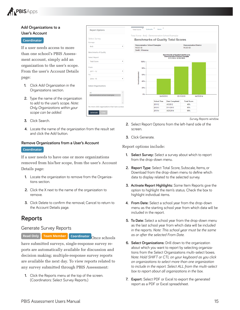

#### **Add Organizations to a User's Account**

#### **Coordinator**

If a user needs access to more than one school's PBIS Assessment account, simply add an organization to the user's scope. From the user's Account Details page:

- **1.** Click Add Organization in the Organizations section.
- **2.** Type the name of the organization to add to the user's scope . *Note: Only Organizations within your scope can be added.*
- **3.** Click Search.
- **4 .** Locate the name of the organization from the result set and click the Add button.

#### **Remove Organizations from a User's Account**

#### **Coordinator**

If a user needs to have one or more organizations removed from his/her scope, from the user's Account Details page:

- **1.** Locate the organization to remove from the Organizations section.
- **2.** Click the X next to the name of the organization to remove.
- **3.** Click Delete to confirm the removal; Cancel to return to the Account Details page.

## **Reports**

#### Generate Survey Reports

**Read Only Team Member Coordinator** Once schools

have submitted surveys, single-response survey reports are automatically available for discussion and decision making; multiple-response survey reports are available the next day. To view reports related to any survey submitted through PBIS Assessment:

**1.** Click the Reports menu at the top of the screen. (Coordinators: Select Survey Reports .)



*Survey Reports window.*

- **2 .** Select Report Options from the left-hand side of the screen .
- **3.** Click Generate.

Report options include:

- **1.** Select Survey: Select a survey about which to report from the drop-down menu.
- 2. Report Type: Select Total Score, Subscale, Items, or Download from the drop-down menu to define which data to display related to the selected survey.
- **3 . Activate Report Highlights:** Some Item Reports give the option to highlight the item's status . Check the box to highlight individual items.
- **4 . From Date:** Select a school year from the drop-down menu as the starting school year from which data will be included in the report.
- **5 . To Date:** Select a school year from the drop-down menu as the last school year from which data will be included in the reports . *Note: This school year must be the same as or after the selected From Date* .
- **6 . Select Organizations:** Drill down to the organization about which you want to report by selecting organizations from the Select Organizations multi-select boxes. *Note: Hold SHIFT or CTL on your keyboard as you click on organizations to select more than one organization to include in the report. Select ALL from the multi-select box to report about all organizations in the box.*
- **7 . Export:** Select PDF or Excel to export the generated report as a PDF or Excel spreadsheet.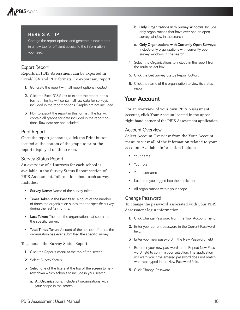# **PBISApps**

#### **HERE'S A TIP**

Change the report options and generate a new report in a new tab for efficient access to the information you need.

### Export Report

Reports in PBIS Assessment can be exported in Excel/CSV and PDF formats. To export any report:

- **1.** Generate the report with all report options needed.
- **2.** Click the Excel/CSV link to export the report in this format. The file will contain all raw data for surveys included in the report options. Graphs are not included.
- **3.** PDF to export the report in this format. The file will contain all graphs for data included in the report options. Raw data are not included.

#### Print Report

Once the report generates, click the Print button located at the bottom of the graph to print the report displayed on the screen.

#### Survey Status Report

An overview of all surveys for each school is available in the Survey Status Report section of PBIS Assessment. Information about each survey includes:

- **Survey Name:** Name of the survey taken.
- **Times Taken in the Past Year:** A count of the number of times the organization submitted the specific survey during the last 12 months.
- **Last Taken:** The date the organization last submitted the specific survey.
- **Total Times Taken:** A count of the number of times the organization has ever submitted the specific survey.

To generate the Survey Status Report:

- **1.** Click the Reports menu at the top of the screen.
- 2. Select Survey Status.
- **3.** Select one of the filters at the top of the screen to narrow down which schools to include in your search.
	- a. All Organizations: Include all organizations within your scope in the search.
- **b.** Only Organizations with Survey Windows: Include only organizations that have ever had an open survey window in the search.
- c. Only Organizations with Currently Open Surveys: Include only organizations with currently open survey windows in the search.
- **4 .** Select the Organizations to include in the report from the multi-select box.
- **5.** Click the Get Survey Status Report button.
- **6.** Click the name of the organization to view its status report.

# **Your Account**

For an overview of your own PBIS Assessment account, click Your Account located in the upper right-hand corner of the PBIS Assessment application.

#### Account Overview

Select Account Overview from the Your Account menu to view all of the information related to your account. Available information includes:

- **Your name**
- Your role
- Your username
- Last time you logged into the application
- **All organizations within your scope**

### Change Password

To change the password associated with your PBIS Assessment login information:

- **1.** Click Change Password from the Your Account menu.
- 2. Enter your current password in the Current Password field.
- **3.** Enter your new password in the New Password field.
- **4 .** Re-enter your new password in the Repeat New Password field to confirm your selection. The application will warn you if the entered password does not match what was typed in the New Password field.
- **5.** Click Change Password.